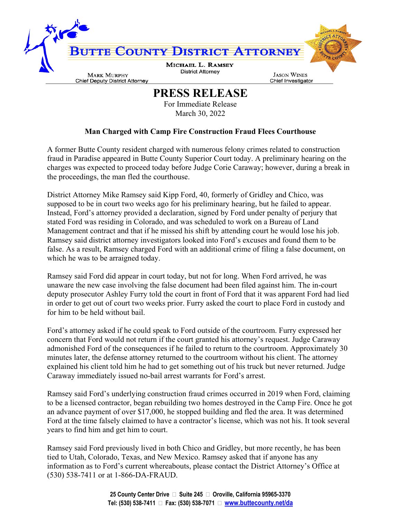

## **PRESS RELEASE**

For Immediate Release March 30, 2022

## **Man Charged with Camp Fire Construction Fraud Flees Courthouse**

A former Butte County resident charged with numerous felony crimes related to construction fraud in Paradise appeared in Butte County Superior Court today. A preliminary hearing on the charges was expected to proceed today before Judge Corie Caraway; however, during a break in the proceedings, the man fled the courthouse.

District Attorney Mike Ramsey said Kipp Ford, 40, formerly of Gridley and Chico, was supposed to be in court two weeks ago for his preliminary hearing, but he failed to appear. Instead, Ford's attorney provided a declaration, signed by Ford under penalty of perjury that stated Ford was residing in Colorado, and was scheduled to work on a Bureau of Land Management contract and that if he missed his shift by attending court he would lose his job. Ramsey said district attorney investigators looked into Ford's excuses and found them to be false. As a result, Ramsey charged Ford with an additional crime of filing a false document, on which he was to be arraigned today.

Ramsey said Ford did appear in court today, but not for long. When Ford arrived, he was unaware the new case involving the false document had been filed against him. The in-court deputy prosecutor Ashley Furry told the court in front of Ford that it was apparent Ford had lied in order to get out of court two weeks prior. Furry asked the court to place Ford in custody and for him to be held without bail.

Ford's attorney asked if he could speak to Ford outside of the courtroom. Furry expressed her concern that Ford would not return if the court granted his attorney's request. Judge Caraway admonished Ford of the consequences if he failed to return to the courtroom. Approximately 30 minutes later, the defense attorney returned to the courtroom without his client. The attorney explained his client told him he had to get something out of his truck but never returned. Judge Caraway immediately issued no-bail arrest warrants for Ford's arrest.

Ramsey said Ford's underlying construction fraud crimes occurred in 2019 when Ford, claiming to be a licensed contractor, began rebuilding two homes destroyed in the Camp Fire. Once he got an advance payment of over \$17,000, he stopped building and fled the area. It was determined Ford at the time falsely claimed to have a contractor's license, which was not his. It took several years to find him and get him to court.

Ramsey said Ford previously lived in both Chico and Gridley, but more recently, he has been tied to Utah, Colorado, Texas, and New Mexico. Ramsey asked that if anyone has any information as to Ford's current whereabouts, please contact the District Attorney's Office at (530) 538-7411 or at 1-866-DA-FRAUD.